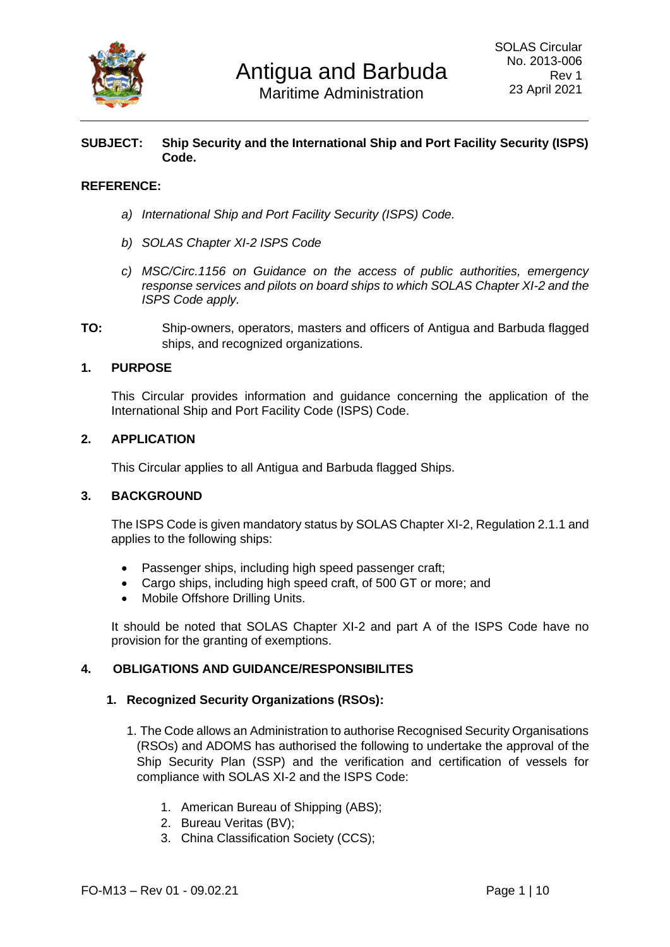

#### **SUBJECT: Ship Security and the International Ship and Port Facility Security (ISPS) Code.**

### **REFERENCE:**

- *a) International Ship and Port Facility Security (ISPS) Code.*
- *b) SOLAS Chapter XI-2 ISPS Code*
- *c) MSC/Circ.1156 on Guidance on the access of public authorities, emergency response services and pilots on board ships to which SOLAS Chapter XI-2 and the ISPS Code apply.*
- **TO:** Ship-owners, operators, masters and officers of Antigua and Barbuda flagged ships, and recognized organizations.

#### **1. PURPOSE**

This Circular provides information and guidance concerning the application of the International Ship and Port Facility Code (ISPS) Code.

#### **2. APPLICATION**

This Circular applies to all Antigua and Barbuda flagged Ships.

#### **3. BACKGROUND**

The ISPS Code is given mandatory status by SOLAS Chapter XI-2, Regulation 2.1.1 and applies to the following ships:

- Passenger ships, including high speed passenger craft;
- Cargo ships, including high speed craft, of 500 GT or more; and
- Mobile Offshore Drilling Units.

It should be noted that SOLAS Chapter XI-2 and part A of the ISPS Code have no provision for the granting of exemptions.

#### **4. OBLIGATIONS AND GUIDANCE/RESPONSIBILITES**

#### **1. Recognized Security Organizations (RSOs):**

- 1. The Code allows an Administration to authorise Recognised Security Organisations (RSOs) and ADOMS has authorised the following to undertake the approval of the Ship Security Plan (SSP) and the verification and certification of vessels for compliance with SOLAS XI-2 and the ISPS Code:
	- 1. American Bureau of Shipping (ABS);
	- 2. Bureau Veritas (BV);
	- 3. China Classification Society (CCS);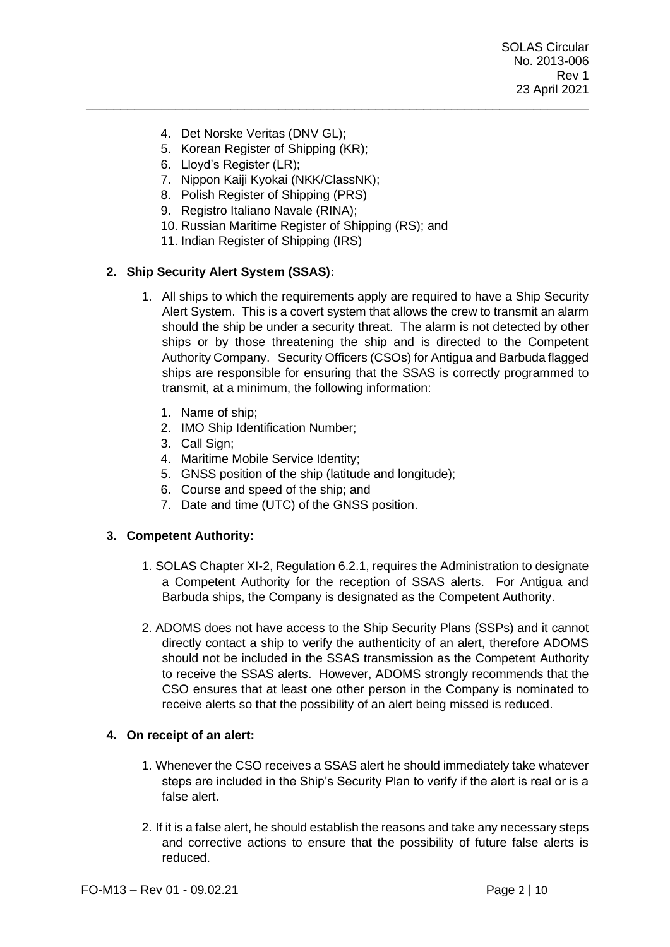SOLAS Circular No. 2013-006 Rev 1 23 April 2021

- 4. Det Norske Veritas (DNV GL);
- 5. Korean Register of Shipping (KR);
- 6. Lloyd's Register (LR);
- 7. Nippon Kaiji Kyokai (NKK/ClassNK);
- 8. Polish Register of Shipping (PRS)
- 9. Registro Italiano Navale (RINA);
- 10. Russian Maritime Register of Shipping (RS); and

\_\_\_\_\_\_\_\_\_\_\_\_\_\_\_\_\_\_\_\_\_\_\_\_\_\_\_\_\_\_\_\_\_\_\_\_\_\_\_\_\_\_\_\_\_\_\_\_\_\_\_\_\_\_\_\_\_\_\_\_\_\_\_\_\_\_\_\_\_\_\_\_\_

11. Indian Register of Shipping (IRS)

### **2. Ship Security Alert System (SSAS):**

- 1. All ships to which the requirements apply are required to have a Ship Security Alert System. This is a covert system that allows the crew to transmit an alarm should the ship be under a security threat. The alarm is not detected by other ships or by those threatening the ship and is directed to the Competent Authority Company. Security Officers (CSOs) for Antigua and Barbuda flagged ships are responsible for ensuring that the SSAS is correctly programmed to transmit, at a minimum, the following information:
	- 1. Name of ship;
	- 2. IMO Ship Identification Number;
	- 3. Call Sign;
	- 4. Maritime Mobile Service Identity;
	- 5. GNSS position of the ship (latitude and longitude);
	- 6. Course and speed of the ship; and
	- 7. Date and time (UTC) of the GNSS position.

#### **3. Competent Authority:**

- 1. SOLAS Chapter XI-2, Regulation 6.2.1, requires the Administration to designate a Competent Authority for the reception of SSAS alerts. For Antigua and Barbuda ships, the Company is designated as the Competent Authority.
- 2. ADOMS does not have access to the Ship Security Plans (SSPs) and it cannot directly contact a ship to verify the authenticity of an alert, therefore ADOMS should not be included in the SSAS transmission as the Competent Authority to receive the SSAS alerts. However, ADOMS strongly recommends that the CSO ensures that at least one other person in the Company is nominated to receive alerts so that the possibility of an alert being missed is reduced.

#### **4. On receipt of an alert:**

- 1. Whenever the CSO receives a SSAS alert he should immediately take whatever steps are included in the Ship's Security Plan to verify if the alert is real or is a false alert.
- 2. If it is a false alert, he should establish the reasons and take any necessary steps and corrective actions to ensure that the possibility of future false alerts is reduced.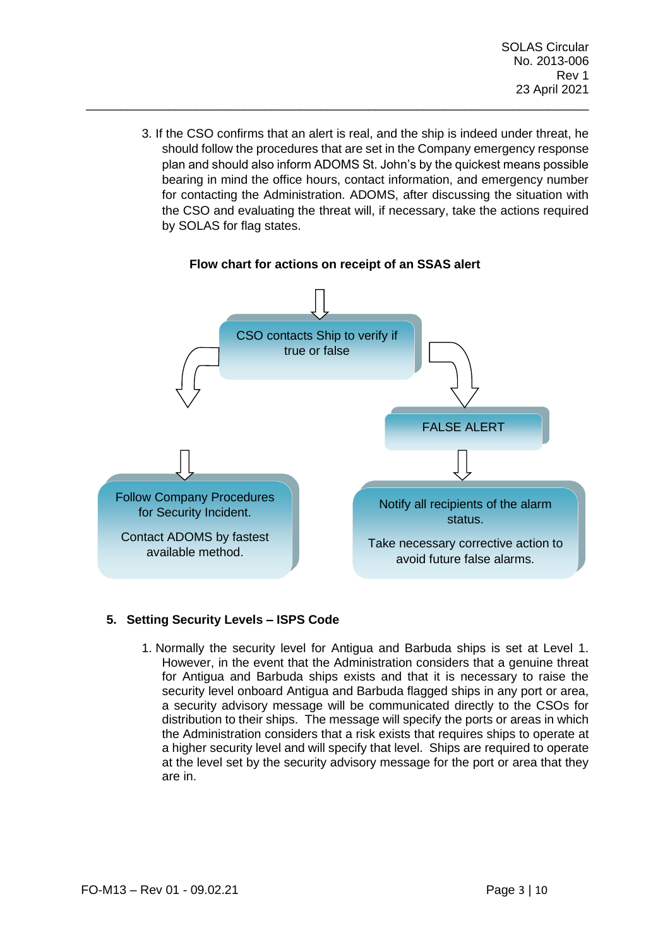3. If the CSO confirms that an alert is real, and the ship is indeed under threat, he should follow the procedures that are set in the Company emergency response plan and should also inform ADOMS St. John's by the quickest means possible bearing in mind the office hours, contact information, and emergency number for contacting the Administration. ADOMS, after discussing the situation with the CSO and evaluating the threat will, if necessary, take the actions required by SOLAS for flag states.



#### **Flow chart for actions on receipt of an SSAS alert**

\_\_\_\_\_\_\_\_\_\_\_\_\_\_\_\_\_\_\_\_\_\_\_\_\_\_\_\_\_\_\_\_\_\_\_\_\_\_\_\_\_\_\_\_\_\_\_\_\_\_\_\_\_\_\_\_\_\_\_\_\_\_\_\_\_\_\_\_\_\_\_\_\_

# **5. Setting Security Levels – ISPS Code**

1. Normally the security level for Antigua and Barbuda ships is set at Level 1. However, in the event that the Administration considers that a genuine threat for Antigua and Barbuda ships exists and that it is necessary to raise the security level onboard Antigua and Barbuda flagged ships in any port or area, a security advisory message will be communicated directly to the CSOs for distribution to their ships. The message will specify the ports or areas in which the Administration considers that a risk exists that requires ships to operate at a higher security level and will specify that level. Ships are required to operate at the level set by the security advisory message for the port or area that they are in.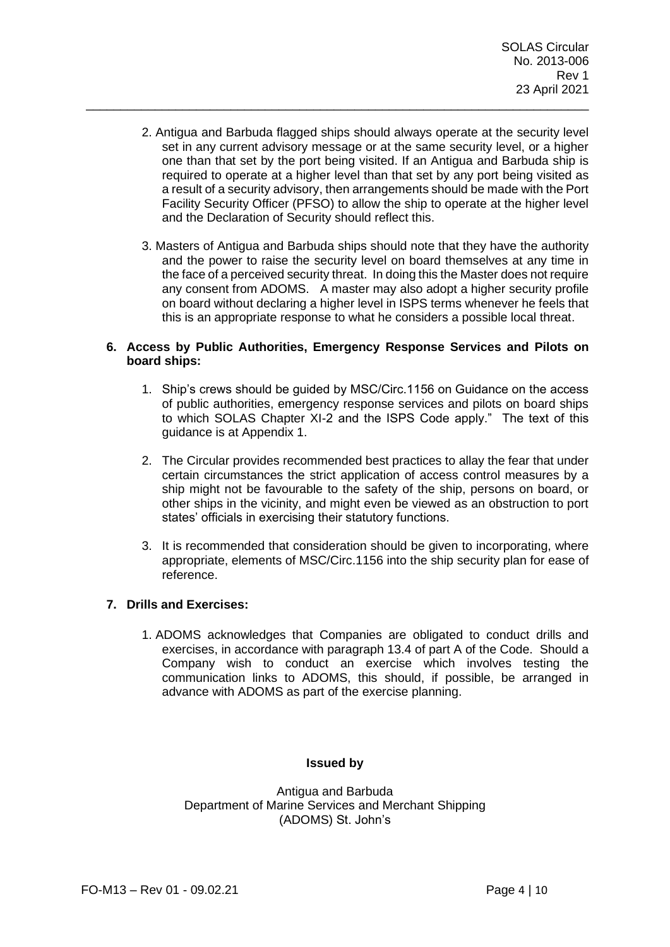2. Antigua and Barbuda flagged ships should always operate at the security level set in any current advisory message or at the same security level, or a higher one than that set by the port being visited. If an Antigua and Barbuda ship is required to operate at a higher level than that set by any port being visited as a result of a security advisory, then arrangements should be made with the Port Facility Security Officer (PFSO) to allow the ship to operate at the higher level and the Declaration of Security should reflect this.

\_\_\_\_\_\_\_\_\_\_\_\_\_\_\_\_\_\_\_\_\_\_\_\_\_\_\_\_\_\_\_\_\_\_\_\_\_\_\_\_\_\_\_\_\_\_\_\_\_\_\_\_\_\_\_\_\_\_\_\_\_\_\_\_\_\_\_\_\_\_\_\_\_

3. Masters of Antigua and Barbuda ships should note that they have the authority and the power to raise the security level on board themselves at any time in the face of a perceived security threat. In doing this the Master does not require any consent from ADOMS. A master may also adopt a higher security profile on board without declaring a higher level in ISPS terms whenever he feels that this is an appropriate response to what he considers a possible local threat.

#### **6. Access by Public Authorities, Emergency Response Services and Pilots on board ships:**

- 1. Ship's crews should be guided by MSC/Circ.1156 on Guidance on the access of public authorities, emergency response services and pilots on board ships to which SOLAS Chapter XI-2 and the ISPS Code apply." The text of this guidance is at Appendix 1.
- 2. The Circular provides recommended best practices to allay the fear that under certain circumstances the strict application of access control measures by a ship might not be favourable to the safety of the ship, persons on board, or other ships in the vicinity, and might even be viewed as an obstruction to port states' officials in exercising their statutory functions.
- 3. It is recommended that consideration should be given to incorporating, where appropriate, elements of MSC/Circ.1156 into the ship security plan for ease of reference.

## **7. Drills and Exercises:**

1. ADOMS acknowledges that Companies are obligated to conduct drills and exercises, in accordance with paragraph 13.4 of part A of the Code. Should a Company wish to conduct an exercise which involves testing the communication links to ADOMS, this should, if possible, be arranged in advance with ADOMS as part of the exercise planning.

#### **Issued by**

Antigua and Barbuda Department of Marine Services and Merchant Shipping (ADOMS) St. John's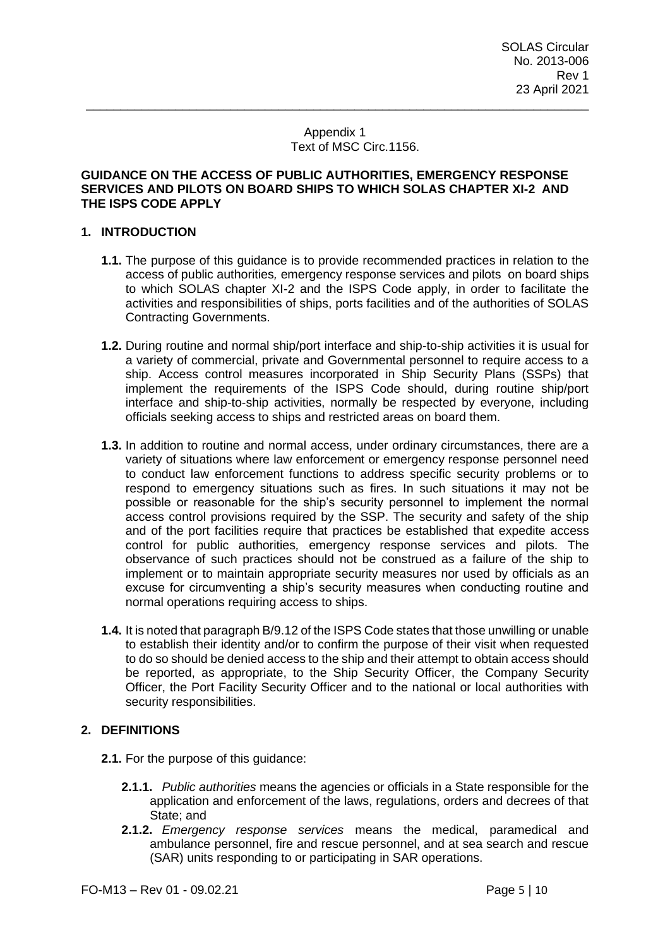#### Appendix 1 Text of MSC Circ.1156.

\_\_\_\_\_\_\_\_\_\_\_\_\_\_\_\_\_\_\_\_\_\_\_\_\_\_\_\_\_\_\_\_\_\_\_\_\_\_\_\_\_\_\_\_\_\_\_\_\_\_\_\_\_\_\_\_\_\_\_\_\_\_\_\_\_\_\_\_\_\_\_\_\_

#### **GUIDANCE ON THE ACCESS OF PUBLIC AUTHORITIES, EMERGENCY RESPONSE SERVICES AND PILOTS ON BOARD SHIPS TO WHICH SOLAS CHAPTER XI-2 AND THE ISPS CODE APPLY**

#### **1. INTRODUCTION**

- **1.1.** The purpose of this guidance is to provide recommended practices in relation to the access of public authorities*,* emergency response services and pilotson board ships to which SOLAS chapter XI-2 and the ISPS Code apply, in order to facilitate the activities and responsibilities of ships, ports facilities and of the authorities of SOLAS Contracting Governments.
- **1.2.** During routine and normal ship/port interface and ship-to-ship activities it is usual for a variety of commercial, private and Governmental personnel to require access to a ship. Access control measures incorporated in Ship Security Plans (SSPs) that implement the requirements of the ISPS Code should, during routine ship/port interface and ship-to-ship activities, normally be respected by everyone, including officials seeking access to ships and restricted areas on board them.
- **1.3.** In addition to routine and normal access, under ordinary circumstances, there are a variety of situations where law enforcement or emergency response personnel need to conduct law enforcement functions to address specific security problems or to respond to emergency situations such as fires. In such situations it may not be possible or reasonable for the ship's security personnel to implement the normal access control provisions required by the SSP. The security and safety of the ship and of the port facilities require that practices be established that expedite access control for public authorities*,* emergency response services and pilots. The observance of such practices should not be construed as a failure of the ship to implement or to maintain appropriate security measures nor used by officials as an excuse for circumventing a ship's security measures when conducting routine and normal operations requiring access to ships.
- **1.4.** It is noted that paragraph B/9.12 of the ISPS Code states that those unwilling or unable to establish their identity and/or to confirm the purpose of their visit when requested to do so should be denied access to the ship and their attempt to obtain access should be reported, as appropriate, to the Ship Security Officer, the Company Security Officer, the Port Facility Security Officer and to the national or local authorities with security responsibilities.

#### **2. DEFINITIONS**

- **2.1.** For the purpose of this guidance:
	- **2.1.1.** *Public authorities* means the agencies or officials in a State responsible for the application and enforcement of the laws, regulations, orders and decrees of that State; and
	- **2.1.2.** *Emergency response services* means the medical, paramedical and ambulance personnel, fire and rescue personnel, and at sea search and rescue (SAR) units responding to or participating in SAR operations.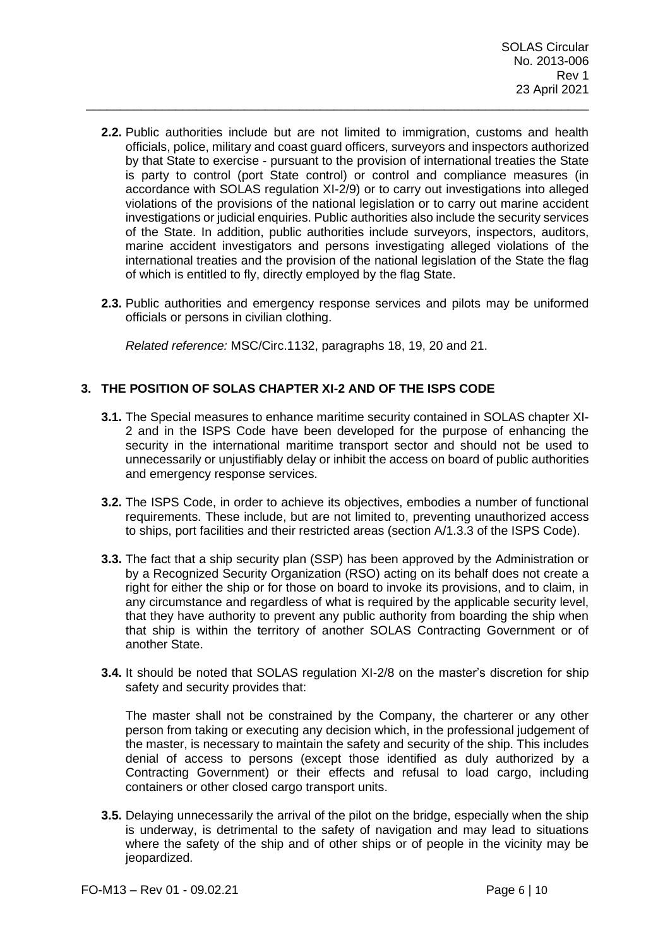**2.2.** Public authorities include but are not limited to immigration, customs and health officials, police, military and coast guard officers, surveyors and inspectors authorized by that State to exercise - pursuant to the provision of international treaties the State is party to control (port State control) or control and compliance measures (in accordance with SOLAS regulation XI-2/9) or to carry out investigations into alleged violations of the provisions of the national legislation or to carry out marine accident investigations or judicial enquiries. Public authorities also include the security services of the State. In addition, public authorities include surveyors, inspectors, auditors, marine accident investigators and persons investigating alleged violations of the international treaties and the provision of the national legislation of the State the flag of which is entitled to fly, directly employed by the flag State.

\_\_\_\_\_\_\_\_\_\_\_\_\_\_\_\_\_\_\_\_\_\_\_\_\_\_\_\_\_\_\_\_\_\_\_\_\_\_\_\_\_\_\_\_\_\_\_\_\_\_\_\_\_\_\_\_\_\_\_\_\_\_\_\_\_\_\_\_\_\_\_\_\_

**2.3.** Public authorities and emergency response services and pilots may be uniformed officials or persons in civilian clothing.

*Related reference:* MSC/Circ.1132, paragraphs 18, 19, 20 and 21.

## **3. THE POSITION OF SOLAS CHAPTER XI-2 AND OF THE ISPS CODE**

- **3.1.** The Special measures to enhance maritime security contained in SOLAS chapter XI-2 and in the ISPS Code have been developed for the purpose of enhancing the security in the international maritime transport sector and should not be used to unnecessarily or unjustifiably delay or inhibit the access on board of public authorities and emergency response services.
- **3.2.** The ISPS Code, in order to achieve its objectives, embodies a number of functional requirements. These include, but are not limited to, preventing unauthorized access to ships, port facilities and their restricted areas (section A/1.3.3 of the ISPS Code).
- **3.3.** The fact that a ship security plan (SSP) has been approved by the Administration or by a Recognized Security Organization (RSO) acting on its behalf does not create a right for either the ship or for those on board to invoke its provisions, and to claim, in any circumstance and regardless of what is required by the applicable security level, that they have authority to prevent any public authority from boarding the ship when that ship is within the territory of another SOLAS Contracting Government or of another State.
- **3.4.** It should be noted that SOLAS regulation XI-2/8 on the master's discretion for ship safety and security provides that:

The master shall not be constrained by the Company, the charterer or any other person from taking or executing any decision which, in the professional judgement of the master, is necessary to maintain the safety and security of the ship. This includes denial of access to persons (except those identified as duly authorized by a Contracting Government) or their effects and refusal to load cargo, including containers or other closed cargo transport units.

**3.5.** Delaying unnecessarily the arrival of the pilot on the bridge, especially when the ship is underway, is detrimental to the safety of navigation and may lead to situations where the safety of the ship and of other ships or of people in the vicinity may be jeopardized.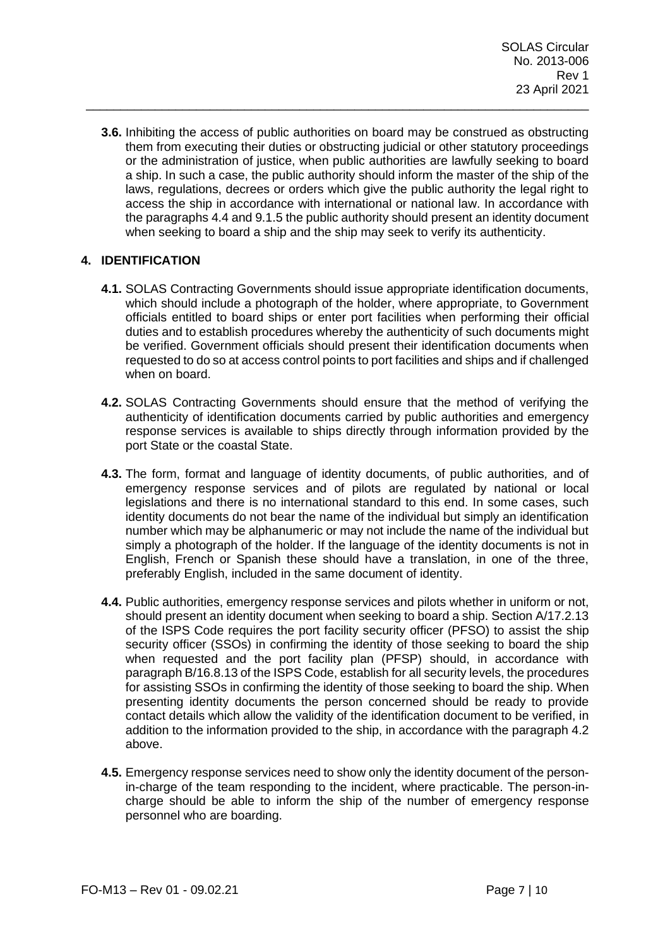**3.6.** Inhibiting the access of public authorities on board may be construed as obstructing them from executing their duties or obstructing judicial or other statutory proceedings or the administration of justice, when public authorities are lawfully seeking to board a ship. In such a case, the public authority should inform the master of the ship of the laws, regulations, decrees or orders which give the public authority the legal right to access the ship in accordance with international or national law. In accordance with the paragraphs 4.4 and 9.1.5 the public authority should present an identity document when seeking to board a ship and the ship may seek to verify its authenticity.

\_\_\_\_\_\_\_\_\_\_\_\_\_\_\_\_\_\_\_\_\_\_\_\_\_\_\_\_\_\_\_\_\_\_\_\_\_\_\_\_\_\_\_\_\_\_\_\_\_\_\_\_\_\_\_\_\_\_\_\_\_\_\_\_\_\_\_\_\_\_\_\_\_

### **4. IDENTIFICATION**

- **4.1.** SOLAS Contracting Governments should issue appropriate identification documents, which should include a photograph of the holder, where appropriate, to Government officials entitled to board ships or enter port facilities when performing their official duties and to establish procedures whereby the authenticity of such documents might be verified. Government officials should present their identification documents when requested to do so at access control points to port facilities and ships and if challenged when on board.
- **4.2.** SOLAS Contracting Governments should ensure that the method of verifying the authenticity of identification documents carried by public authorities and emergency response services is available to ships directly through information provided by the port State or the coastal State.
- **4.3.** The form, format and language of identity documents, of public authorities*,* and of emergency response services and of pilots are regulated by national or local legislations and there is no international standard to this end. In some cases, such identity documents do not bear the name of the individual but simply an identification number which may be alphanumeric or may not include the name of the individual but simply a photograph of the holder. If the language of the identity documents is not in English, French or Spanish these should have a translation, in one of the three, preferably English, included in the same document of identity.
- **4.4.** Public authorities, emergency response services and pilots whether in uniform or not, should present an identity document when seeking to board a ship. Section A/17.2.13 of the ISPS Code requires the port facility security officer (PFSO) to assist the ship security officer (SSOs) in confirming the identity of those seeking to board the ship when requested and the port facility plan (PFSP) should, in accordance with paragraph B/16.8.13 of the ISPS Code, establish for all security levels, the procedures for assisting SSOs in confirming the identity of those seeking to board the ship. When presenting identity documents the person concerned should be ready to provide contact details which allow the validity of the identification document to be verified, in addition to the information provided to the ship, in accordance with the paragraph 4.2 above.
- **4.5.** Emergency response services need to show only the identity document of the personin-charge of the team responding to the incident, where practicable. The person-incharge should be able to inform the ship of the number of emergency response personnel who are boarding.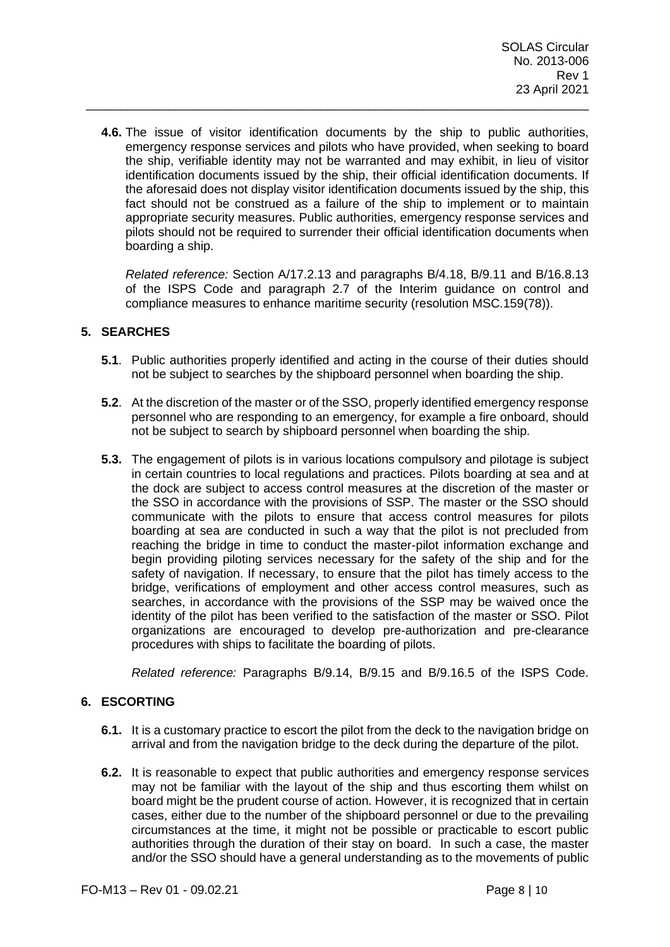**4.6.** The issue of visitor identification documents by the ship to public authorities, emergency response services and pilots who have provided, when seeking to board the ship, verifiable identity may not be warranted and may exhibit, in lieu of visitor identification documents issued by the ship, their official identification documents. If the aforesaid does not display visitor identification documents issued by the ship, this fact should not be construed as a failure of the ship to implement or to maintain appropriate security measures. Public authorities, emergency response services and pilots should not be required to surrender their official identification documents when boarding a ship.

\_\_\_\_\_\_\_\_\_\_\_\_\_\_\_\_\_\_\_\_\_\_\_\_\_\_\_\_\_\_\_\_\_\_\_\_\_\_\_\_\_\_\_\_\_\_\_\_\_\_\_\_\_\_\_\_\_\_\_\_\_\_\_\_\_\_\_\_\_\_\_\_\_

*Related reference:* Section A/17.2.13 and paragraphs B/4.18, B/9.11 and B/16.8.13 of the ISPS Code and paragraph 2.7 of the Interim guidance on control and compliance measures to enhance maritime security (resolution MSC.159(78)).

#### **5. SEARCHES**

- **5.1**. Public authorities properly identified and acting in the course of their duties should not be subject to searches by the shipboard personnel when boarding the ship.
- **5.2**. At the discretion of the master or of the SSO, properly identified emergency response personnel who are responding to an emergency, for example a fire onboard, should not be subject to search by shipboard personnel when boarding the ship.
- **5.3.** The engagement of pilots is in various locations compulsory and pilotage is subject in certain countries to local regulations and practices. Pilots boarding at sea and at the dock are subject to access control measures at the discretion of the master or the SSO in accordance with the provisions of SSP. The master or the SSO should communicate with the pilots to ensure that access control measures for pilots boarding at sea are conducted in such a way that the pilot is not precluded from reaching the bridge in time to conduct the master-pilot information exchange and begin providing piloting services necessary for the safety of the ship and for the safety of navigation. If necessary, to ensure that the pilot has timely access to the bridge, verifications of employment and other access control measures, such as searches, in accordance with the provisions of the SSP may be waived once the identity of the pilot has been verified to the satisfaction of the master or SSO. Pilot organizations are encouraged to develop pre-authorization and pre-clearance procedures with ships to facilitate the boarding of pilots.

*Related reference:* Paragraphs B/9.14, B/9.15 and B/9.16.5 of the ISPS Code.

#### **6. ESCORTING**

- **6.1.** It is a customary practice to escort the pilot from the deck to the navigation bridge on arrival and from the navigation bridge to the deck during the departure of the pilot.
- **6.2.** It is reasonable to expect that public authorities and emergency response services may not be familiar with the layout of the ship and thus escorting them whilst on board might be the prudent course of action. However, it is recognized that in certain cases, either due to the number of the shipboard personnel or due to the prevailing circumstances at the time, it might not be possible or practicable to escort public authorities through the duration of their stay on board. In such a case, the master and/or the SSO should have a general understanding as to the movements of public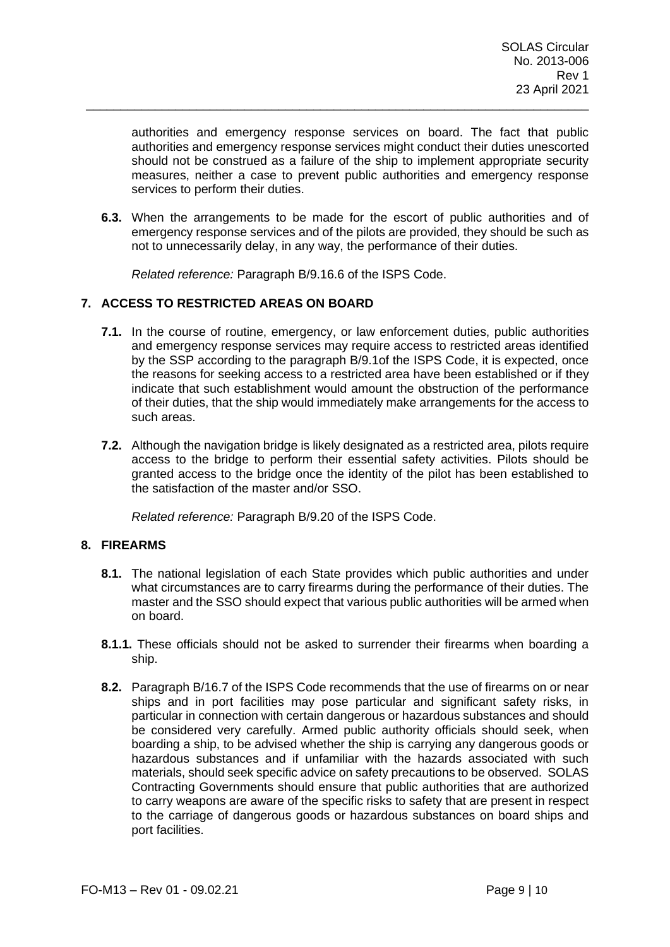authorities and emergency response services on board. The fact that public authorities and emergency response services might conduct their duties unescorted should not be construed as a failure of the ship to implement appropriate security measures, neither a case to prevent public authorities and emergency response services to perform their duties.

**6.3.** When the arrangements to be made for the escort of public authorities and of emergency response services and of the pilots are provided, they should be such as not to unnecessarily delay, in any way, the performance of their duties.

\_\_\_\_\_\_\_\_\_\_\_\_\_\_\_\_\_\_\_\_\_\_\_\_\_\_\_\_\_\_\_\_\_\_\_\_\_\_\_\_\_\_\_\_\_\_\_\_\_\_\_\_\_\_\_\_\_\_\_\_\_\_\_\_\_\_\_\_\_\_\_\_\_

*Related reference:* Paragraph B/9.16.6 of the ISPS Code.

### **7. ACCESS TO RESTRICTED AREAS ON BOARD**

- **7.1.** In the course of routine, emergency, or law enforcement duties, public authorities and emergency response services may require access to restricted areas identified by the SSP according to the paragraph B/9.1of the ISPS Code, it is expected, once the reasons for seeking access to a restricted area have been established or if they indicate that such establishment would amount the obstruction of the performance of their duties, that the ship would immediately make arrangements for the access to such areas.
- **7.2.** Although the navigation bridge is likely designated as a restricted area, pilots require access to the bridge to perform their essential safety activities. Pilots should be granted access to the bridge once the identity of the pilot has been established to the satisfaction of the master and/or SSO.

*Related reference:* Paragraph B/9.20 of the ISPS Code.

#### **8. FIREARMS**

- **8.1.** The national legislation of each State provides which public authorities and under what circumstances are to carry firearms during the performance of their duties. The master and the SSO should expect that various public authorities will be armed when on board.
- **8.1.1.** These officials should not be asked to surrender their firearms when boarding a ship.
- **8.2.** Paragraph B/16.7 of the ISPS Code recommends that the use of firearms on or near ships and in port facilities may pose particular and significant safety risks, in particular in connection with certain dangerous or hazardous substances and should be considered very carefully. Armed public authority officials should seek, when boarding a ship, to be advised whether the ship is carrying any dangerous goods or hazardous substances and if unfamiliar with the hazards associated with such materials, should seek specific advice on safety precautions to be observed. SOLAS Contracting Governments should ensure that public authorities that are authorized to carry weapons are aware of the specific risks to safety that are present in respect to the carriage of dangerous goods or hazardous substances on board ships and port facilities.